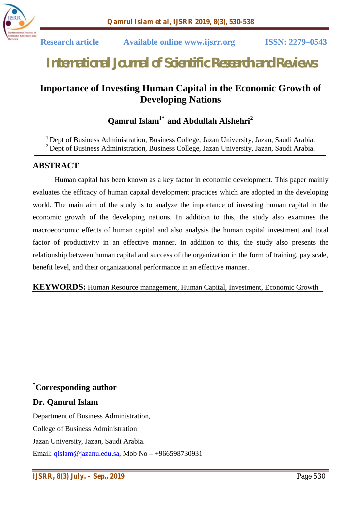

# *International Journal of Scientific Research and Reviews*

# **Importance of Investing Human Capital in the Economic Growth of Developing Nations**

# **Qamrul Islam1\* and Abdullah Alshehri 2**

<sup>1</sup> Dept of Business Administration, Business College, Jazan University, Jazan, Saudi Arabia. <sup>2</sup> Dept of Business Administration, Business College, Jazan University, Jazan, Saudi Arabia.

### **ABSTRACT**

Human capital has been known as a key factor in economic development. This paper mainly evaluates the efficacy of human capital development practices which are adopted in the developing world. The main aim of the study is to analyze the importance of investing human capital in the economic growth of the developing nations. In addition to this, the study also examines the macroeconomic effects of human capital and also analysis the human capital investment and total factor of productivity in an effective manner. In addition to this, the study also presents the relationship between human capital and success of the organization in the form of training, pay scale, benefit level, and their organizational performance in an effective manner.

**KEYWORDS:** Human Resource management, Human Capital, Investment, Economic Growth

# **\*Corresponding author**

#### **Dr. Qamrul Islam**

Department of Business Administration, College of Business Administration Jazan University, Jazan, Saudi Arabia.

Email: qislam@jazanu.edu.sa, Mob No – +966598730931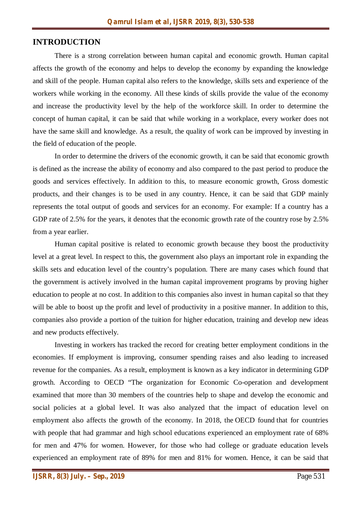#### **INTRODUCTION**

There is a strong correlation between human capital and economic growth. Human capital affects the growth of the economy and helps to develop the economy by expanding the knowledge and skill of the people. Human capital also refers to the knowledge, skills sets and experience of the workers while working in the economy. All these kinds of skills provide the value of the economy and increase the productivity level by the help of the workforce skill. In order to determine the concept of human capital, it can be said that while working in a workplace, every worker does not have the same skill and knowledge. As a result, the quality of work can be improved by investing in the field of education of the people.

In order to determine the drivers of the economic growth, it can be said that economic growth is defined as the increase the ability of economy and also compared to the past period to produce the goods and services effectively. In addition to this, to measure economic growth, Gross domestic products, and their changes is to be used in any country. Hence, it can be said that GDP mainly represents the total output of goods and services for an economy. For example: If a country has a GDP rate of 2.5% for the years, it denotes that the economic growth rate of the country rose by 2.5% from a year earlier.

Human capital positive is related to economic growth because they boost the productivity level at a great level. In respect to this, the government also plays an important role in expanding the skills sets and education level of the country's population. There are many cases which found that the government is actively involved in the human capital improvement programs by proving higher education to people at no cost. In addition to this companies also invest in human capital so that they will be able to boost up the profit and level of productivity in a positive manner. In addition to this, companies also provide a portion of the tuition for higher education, training and develop new ideas and new products effectively.

Investing in workers has tracked the record for creating better employment conditions in the economies. If employment is improving, consumer spending raises and also leading to increased revenue for the companies. As a result, employment is known as a key indicator in determining GDP growth. According to OECD "The organization for Economic Co-operation and development examined that more than 30 members of the countries help to shape and develop the economic and social policies at a global level. It was also analyzed that the impact of education level on employment also affects the growth of the economy. In 2018, the OECD found that for countries with people that had grammar and high school educations experienced an employment rate of 68% for men and 47% for women. However, for those who had college or graduate education levels experienced an employment rate of 89% for men and 81% for women. Hence, it can be said that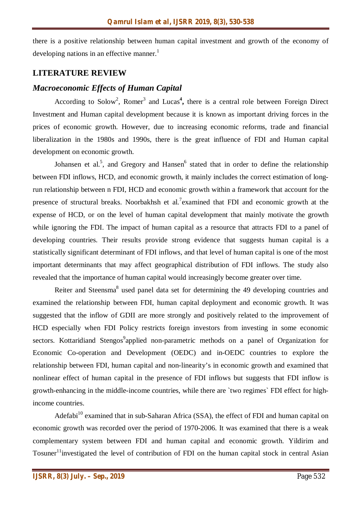there is a positive relationship between human capital investment and growth of the economy of developing nations in an effective manner.<sup>1</sup>

#### **LITERATURE REVIEW**

# *Macroeconomic Effects of Human Capital*

According to Solow<sup>2</sup>, Romer<sup>3</sup> and Lucas<sup>4</sup>, there is a central role between Foreign Direct Investment and Human capital development because it is known as important driving forces in the prices of economic growth. However, due to increasing economic reforms, trade and financial liberalization in the 1980s and 1990s, there is the great influence of FDI and Human capital development on economic growth.

Johansen et al.<sup>5</sup>, and Gregory and Hansen<sup>6</sup> stated that in order to define the relationship between FDI inflows, HCD, and economic growth, it mainly includes the correct estimation of longrun relationship between n FDI, HCD and economic growth within a framework that account for the presence of structural breaks. Noorbakhsh et al.<sup>7</sup> examined that FDI and economic growth at the expense of HCD, or on the level of human capital development that mainly motivate the growth while ignoring the FDI. The impact of human capital as a resource that attracts FDI to a panel of developing countries. Their results provide strong evidence that suggests human capital is a statistically significant determinant of FDI inflows, and that level of human capital is one of the most important determinants that may affect geographical distribution of FDI inflows. The study also revealed that the importance of human capital would increasingly become greater over time.

Reiter and Steensma<sup>8</sup> used panel data set for determining the 49 developing countries and examined the relationship between FDI, human capital deployment and economic growth. It was suggested that the inflow of GDII are more strongly and positively related to the improvement of HCD especially when FDI Policy restricts foreign investors from investing in some economic sectors. Kottaridiand Stengos applied non-parametric methods on a panel of Organization for Economic Co-operation and Development (OEDC) and in-OEDC countries to explore the relationship between FDI, human capital and non-linearity's in economic growth and examined that nonlinear effect of human capital in the presence of FDI inflows but suggests that FDI inflow is growth-enhancing in the middle-income countries, while there are `two regimes` FDI effect for highincome countries.

Adefabi<sup>10</sup> examined that in sub-Saharan Africa (SSA), the effect of FDI and human capital on economic growth was recorded over the period of 1970-2006. It was examined that there is a weak complementary system between FDI and human capital and economic growth. Yildirim and Tosuner<sup>11</sup>investigated the level of contribution of FDI on the human capital stock in central Asian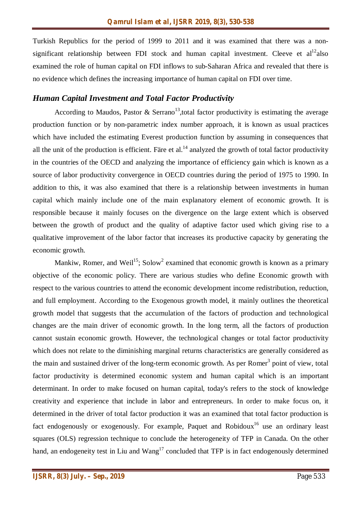Turkish Republics for the period of 1999 to 2011 and it was examined that there was a nonsignificant relationship between FDI stock and human capital investment. Cleeve et  $al<sup>12</sup> also$ examined the role of human capital on FDI inflows to sub-Saharan Africa and revealed that there is no evidence which defines the increasing importance of human capital on FDI over time.

### *Human Capital Investment and Total Factor Productivity*

According to Maudos, Pastor & Serrano<sup>13</sup>, total factor productivity is estimating the average production function or by non-parametric index number approach, it is known as usual practices which have included the estimating Everest production function by assuming in consequences that all the unit of the production is efficient. Färe et al.<sup>14</sup> analyzed the growth of total factor productivity in the countries of the OECD and analyzing the importance of efficiency gain which is known as a source of labor productivity convergence in OECD countries during the period of 1975 to 1990. In addition to this, it was also examined that there is a relationship between investments in human capital which mainly include one of the main explanatory element of economic growth. It is responsible because it mainly focuses on the divergence on the large extent which is observed between the growth of product and the quality of adaptive factor used which giving rise to a qualitative improvement of the labor factor that increases its productive capacity by generating the economic growth.

Mankiw, Romer, and Weil<sup>15</sup>; Solow<sup>2</sup> examined that economic growth is known as a primary objective of the economic policy. There are various studies who define Economic growth with respect to the various countries to attend the economic development income redistribution, reduction, and full employment. According to the Exogenous growth model, it mainly outlines the theoretical growth model that suggests that the accumulation of the factors of production and technological changes are the main driver of economic growth. In the long term, all the factors of production cannot sustain economic growth. However, the technological changes or total factor productivity which does not relate to the diminishing marginal returns characteristics are generally considered as the main and sustained driver of the long-term economic growth. As per Romer<sup>3</sup> point of view, total factor productivity is determined economic system and human capital which is an important determinant. In order to make focused on human capital, today's refers to the stock of knowledge creativity and experience that include in labor and entrepreneurs. In order to make focus on, it determined in the driver of total factor production it was an examined that total factor production is fact endogenously or exogenously. For example, Paquet and Robidoux<sup>16</sup> use an ordinary least squares (OLS) regression technique to conclude the heterogeneity of TFP in Canada. On the other hand, an endogeneity test in Liu and Wang<sup>17</sup> concluded that TFP is in fact endogenously determined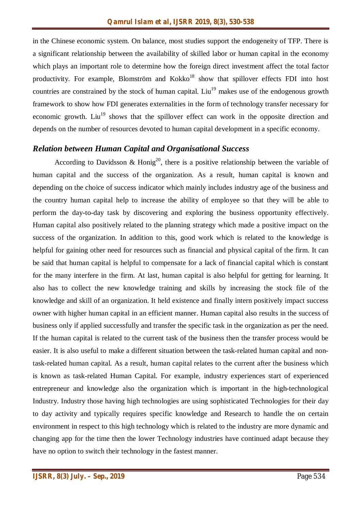in the Chinese economic system. On balance, most studies support the endogeneity of TFP. There is a significant relationship between the availability of skilled labor or human capital in the economy which plays an important role to determine how the foreign direct investment affect the total factor productivity. For example, Blomström and Kokko<sup>18</sup> show that spillover effects FDI into host countries are constrained by the stock of human capital. Liu<sup>19</sup> makes use of the endogenous growth framework to show how FDI generates externalities in the form of technology transfer necessary for economic growth. Liu<sup>19</sup> shows that the spillover effect can work in the opposite direction and depends on the number of resources devoted to human capital development in a specific economy.

#### *Relation between Human Capital and Organisational Success*

According to Davidsson & Honig<sup>20</sup>, there is a positive relationship between the variable of human capital and the success of the organization. As a result, human capital is known and depending on the choice of success indicator which mainly includes industry age of the business and the country human capital help to increase the ability of employee so that they will be able to perform the day-to-day task by discovering and exploring the business opportunity effectively. Human capital also positively related to the planning strategy which made a positive impact on the success of the organization. In addition to this, good work which is related to the knowledge is helpful for gaining other need for resources such as financial and physical capital of the firm. It can be said that human capital is helpful to compensate for a lack of financial capital which is constant for the many interfere in the firm. At last, human capital is also helpful for getting for learning. It also has to collect the new knowledge training and skills by increasing the stock file of the knowledge and skill of an organization. It held existence and finally intern positively impact success owner with higher human capital in an efficient manner. Human capital also results in the success of business only if applied successfully and transfer the specific task in the organization as per the need. If the human capital is related to the current task of the business then the transfer process would be easier. It is also useful to make a different situation between the task-related human capital and nontask-related human capital. As a result, human capital relates to the current after the business which is known as task-related Human Capital. For example, industry experiences start of experienced entrepreneur and knowledge also the organization which is important in the high-technological Industry. Industry those having high technologies are using sophisticated Technologies for their day to day activity and typically requires specific knowledge and Research to handle the on certain environment in respect to this high technology which is related to the industry are more dynamic and changing app for the time then the lower Technology industries have continued adapt because they have no option to switch their technology in the fastest manner.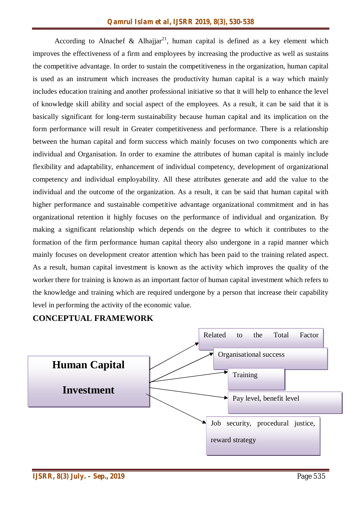According to Alnachef & Alhajjar<sup>21</sup>, human capital is defined as a key element which improves the effectiveness of a firm and employees by increasing the productive as well as sustains the competitive advantage. In order to sustain the competitiveness in the organization, human capital is used as an instrument which increases the productivity human capital is a way which mainly includes education training and another professional initiative so that it will help to enhance the level of knowledge skill ability and social aspect of the employees. As a result, it can be said that it is basically significant for long-term sustainability because human capital and its implication on the form performance will result in Greater competitiveness and performance. There is a relationship between the human capital and form success which mainly focuses on two components which are individual and Organisation. In order to examine the attributes of human capital is mainly include flexibility and adaptability, enhancement of individual competency, development of organizational competency and individual employability. All these attributes generate and add the value to the individual and the outcome of the organization. As a result, it can be said that human capital with higher performance and sustainable competitive advantage organizational commitment and in has organizational retention it highly focuses on the performance of individual and organization. By making a significant relationship which depends on the degree to which it contributes to the formation of the firm performance human capital theory also undergone in a rapid manner which mainly focuses on development creator attention which has been paid to the training related aspect. As a result, human capital investment is known as the activity which improves the quality of the worker there for training is known as an important factor of human capital investment which refers to the knowledge and training which are required undergone by a person that increase their capability level in performing the activity of the economic value.

# **CONCEPTUAL FRAMEWORK**

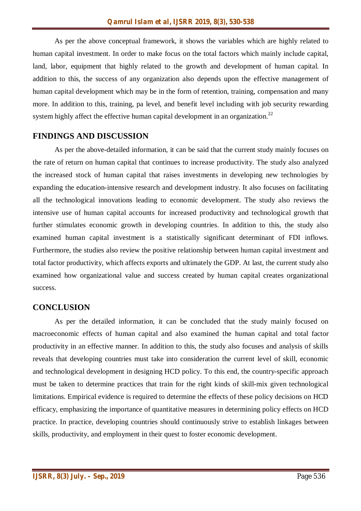As per the above conceptual framework, it shows the variables which are highly related to human capital investment. In order to make focus on the total factors which mainly include capital, land, labor, equipment that highly related to the growth and development of human capital. In addition to this, the success of any organization also depends upon the effective management of human capital development which may be in the form of retention, training, compensation and many more. In addition to this, training, pa level, and benefit level including with job security rewarding system highly affect the effective human capital development in an organization.<sup>22</sup>

#### **FINDINGS AND DISCUSSION**

As per the above-detailed information, it can be said that the current study mainly focuses on the rate of return on human capital that continues to increase productivity. The study also analyzed the increased stock of human capital that raises investments in developing new technologies by expanding the education-intensive research and development industry. It also focuses on facilitating all the technological innovations leading to economic development. The study also reviews the intensive use of human capital accounts for increased productivity and technological growth that further stimulates economic growth in developing countries. In addition to this, the study also examined human capital investment is a statistically significant determinant of FDI inflows. Furthermore, the studies also review the positive relationship between human capital investment and total factor productivity, which affects exports and ultimately the GDP. At last, the current study also examined how organizational value and success created by human capital creates organizational success.

# **CONCLUSION**

As per the detailed information, it can be concluded that the study mainly focused on macroeconomic effects of human capital and also examined the human capital and total factor productivity in an effective manner. In addition to this, the study also focuses and analysis of skills reveals that developing countries must take into consideration the current level of skill, economic and technological development in designing HCD policy. To this end, the country-specific approach must be taken to determine practices that train for the right kinds of skill-mix given technological limitations. Empirical evidence is required to determine the effects of these policy decisions on HCD efficacy, emphasizing the importance of quantitative measures in determining policy effects on HCD practice. In practice, developing countries should continuously strive to establish linkages between skills, productivity, and employment in their quest to foster economic development.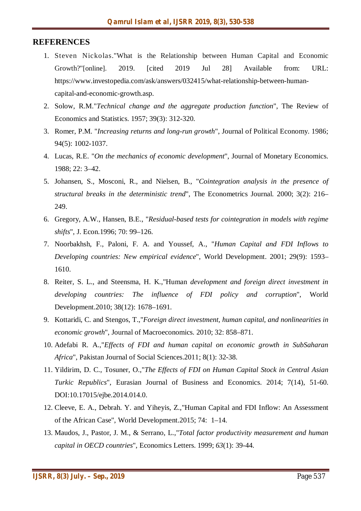#### **REFERENCES**

- 1. Steven Nickolas."What is the Relationship between Human Capital and Economic Growth?"[online]. 2019. [cited 2019 Jul 28] Available from: URL: https://www.investopedia.com/ask/answers/032415/what-relationship-between-humancapital-and-economic-growth.asp.
- 2. Solow, R.M."*Technical change and the aggregate production function*", The Review of Economics and Statistics. 1957; 39(3): 312-320.
- 3. Romer, P.M. "*Increasing returns and long-run growth*", Journal of Political Economy. 1986; 94(5): 1002-1037.
- 4. Lucas, R.E. "*On the mechanics of economic development*", Journal of Monetary Economics. 1988; 22: 3–42.
- 5. Johansen, S., Mosconi, R., and Nielsen, B., "*Cointegration analysis in the presence of structural breaks in the deterministic trend*", The Econometrics Journal. 2000; 3(2): 216– 249.
- 6. Gregory, A.W., Hansen, B.E., "*Residual-based tests for cointegration in models with regime shifts*", J. Econ.1996; 70: 99–126.
- 7. Noorbakhsh, F., Paloni, F. A. and Youssef, A., "*Human Capital and FDI Inflows to Developing countries: New empirical evidence*", World Development. 2001; 29(9): 1593– 1610.
- 8. Reiter, S. L., and Steensma, H. K.,"Human *development and foreign direct investment in developing countries: The influence of FDI policy and corruption*", World Development.2010; 38(12): 1678–1691.
- 9. Kottaridi, C. and Stengos, T.,"*Foreign direct investment, human capital, and nonlinearities in economic growth*", Journal of Macroeconomics. 2010; 32: 858–871.
- 10. Adefabi R. A.,"*Effects of FDI and human capital on economic growth in SubSaharan Africa*", Pakistan Journal of Social Sciences.2011; 8(1): 32-38.
- 11. Yildirim, D. C., Tosuner, O.,"*The Effects of FDI on Human Capital Stock in Central Asian Turkic Republics*", Eurasian Journal of Business and Economics. 2014; 7(14), 51-60. DOI:10.17015/ejbe.2014.014.0.
- 12. Cleeve, E. A., Debrah. Y. and Yiheyis, Z.,"Human Capital and FDI Inflow: An Assessment of the African Case", World Development.2015; 74: 1–14.
- 13. Maudos, J., Pastor, J. M., & Serrano, L.,"*Total factor productivity measurement and human capital in OECD countries*", Economics Letters. 1999; *63*(1): 39-44.